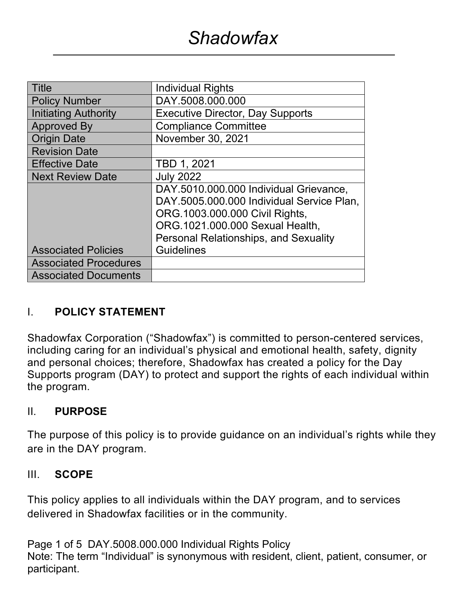| <b>Title</b>                 | <b>Individual Rights</b>                     |  |  |
|------------------------------|----------------------------------------------|--|--|
| <b>Policy Number</b>         | DAY.5008.000.000                             |  |  |
| Initiating Authority         | <b>Executive Director, Day Supports</b>      |  |  |
| <b>Approved By</b>           | <b>Compliance Committee</b>                  |  |  |
| <b>Origin Date</b>           | November 30, 2021                            |  |  |
| <b>Revision Date</b>         |                                              |  |  |
| <b>Effective Date</b>        | TBD 1, 2021                                  |  |  |
| <b>Next Review Date</b>      | <b>July 2022</b>                             |  |  |
|                              | DAY.5010.000.000 Individual Grievance,       |  |  |
|                              | DAY.5005.000.000 Individual Service Plan,    |  |  |
|                              | ORG.1003.000.000 Civil Rights,               |  |  |
|                              | ORG.1021.000.000 Sexual Health,              |  |  |
|                              | <b>Personal Relationships, and Sexuality</b> |  |  |
| <b>Associated Policies</b>   | <b>Guidelines</b>                            |  |  |
| <b>Associated Procedures</b> |                                              |  |  |
| <b>Associated Documents</b>  |                                              |  |  |

#### I. **POLICY STATEMENT**

Shadowfax Corporation ("Shadowfax") is committed to person-centered services, including caring for an individual's physical and emotional health, safety, dignity and personal choices; therefore, Shadowfax has created a policy for the Day Supports program (DAY) to protect and support the rights of each individual within the program.

#### II. **PURPOSE**

The purpose of this policy is to provide guidance on an individual's rights while they are in the DAY program.

#### III. **SCOPE**

This policy applies to all individuals within the DAY program, and to services delivered in Shadowfax facilities or in the community.

Page 1 of 5 DAY.5008.000.000 Individual Rights Policy Note: The term "Individual" is synonymous with resident, client, patient, consumer, or participant.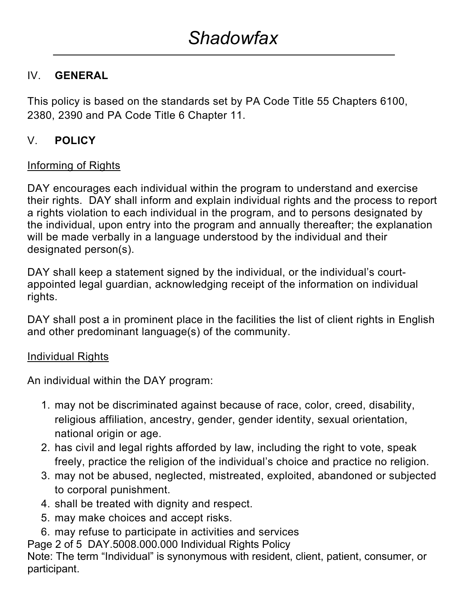## IV. **GENERAL**

This policy is based on the standards set by PA Code Title 55 Chapters 6100, 2380, 2390 and PA Code Title 6 Chapter 11.

## V. **POLICY**

## Informing of Rights

DAY encourages each individual within the program to understand and exercise their rights. DAY shall inform and explain individual rights and the process to report a rights violation to each individual in the program, and to persons designated by the individual, upon entry into the program and annually thereafter; the explanation will be made verbally in a language understood by the individual and their designated person(s).

DAY shall keep a statement signed by the individual, or the individual's courtappointed legal guardian, acknowledging receipt of the information on individual rights.

DAY shall post a in prominent place in the facilities the list of client rights in English and other predominant language(s) of the community.

#### Individual Rights

An individual within the DAY program:

- 1. may not be discriminated against because of race, color, creed, disability, religious affiliation, ancestry, gender, gender identity, sexual orientation, national origin or age.
- 2. has civil and legal rights afforded by law, including the right to vote, speak freely, practice the religion of the individual's choice and practice no religion.
- 3. may not be abused, neglected, mistreated, exploited, abandoned or subjected to corporal punishment.
- 4. shall be treated with dignity and respect.
- 5. may make choices and accept risks.
- 6. may refuse to participate in activities and services

Page 2 of 5 DAY.5008.000.000 Individual Rights Policy

Note: The term "Individual" is synonymous with resident, client, patient, consumer, or participant.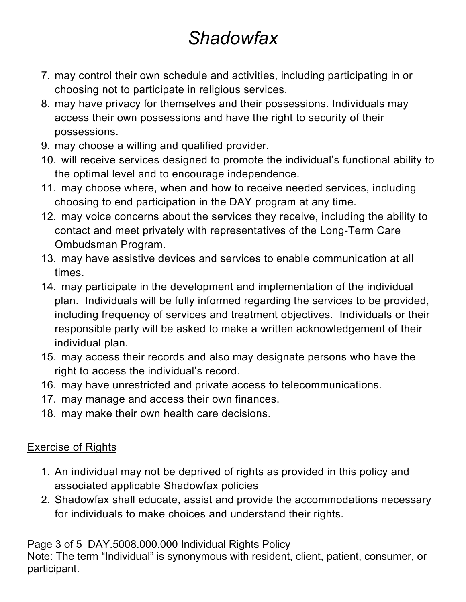- 7. may control their own schedule and activities, including participating in or choosing not to participate in religious services.
- 8. may have privacy for themselves and their possessions. Individuals may access their own possessions and have the right to security of their possessions.
- 9. may choose a willing and qualified provider.
- 10. will receive services designed to promote the individual's functional ability to the optimal level and to encourage independence.
- 11. may choose where, when and how to receive needed services, including choosing to end participation in the DAY program at any time.
- 12. may voice concerns about the services they receive, including the ability to contact and meet privately with representatives of the Long-Term Care Ombudsman Program.
- 13. may have assistive devices and services to enable communication at all times.
- 14. may participate in the development and implementation of the individual plan. Individuals will be fully informed regarding the services to be provided, including frequency of services and treatment objectives. Individuals or their responsible party will be asked to make a written acknowledgement of their individual plan.
- 15. may access their records and also may designate persons who have the right to access the individual's record.
- 16. may have unrestricted and private access to telecommunications.
- 17. may manage and access their own finances.
- 18. may make their own health care decisions.

## Exercise of Rights

- 1. An individual may not be deprived of rights as provided in this policy and associated applicable Shadowfax policies
- 2. Shadowfax shall educate, assist and provide the accommodations necessary for individuals to make choices and understand their rights.

Page 3 of 5 DAY.5008.000.000 Individual Rights Policy

Note: The term "Individual" is synonymous with resident, client, patient, consumer, or participant.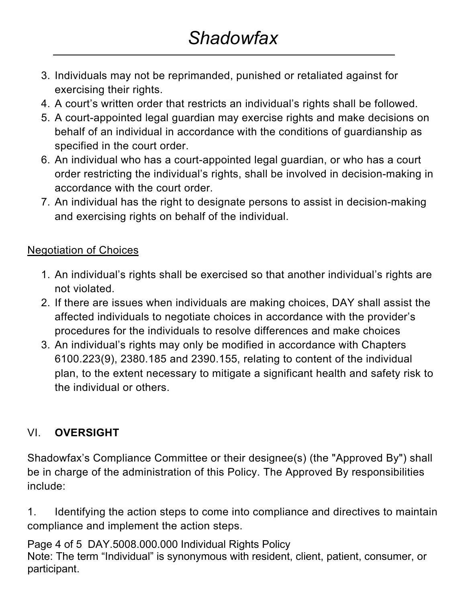- 3. Individuals may not be reprimanded, punished or retaliated against for exercising their rights.
- 4. A court's written order that restricts an individual's rights shall be followed.
- 5. A court-appointed legal guardian may exercise rights and make decisions on behalf of an individual in accordance with the conditions of guardianship as specified in the court order.
- 6. An individual who has a court-appointed legal guardian, or who has a court order restricting the individual's rights, shall be involved in decision-making in accordance with the court order.
- 7. An individual has the right to designate persons to assist in decision-making and exercising rights on behalf of the individual.

## Negotiation of Choices

- 1. An individual's rights shall be exercised so that another individual's rights are not violated.
- 2. If there are issues when individuals are making choices, DAY shall assist the affected individuals to negotiate choices in accordance with the provider's procedures for the individuals to resolve differences and make choices
- 3. An individual's rights may only be modified in accordance with Chapters 6100.223(9), 2380.185 and 2390.155, relating to content of the individual plan, to the extent necessary to mitigate a significant health and safety risk to the individual or others.

# VI. **OVERSIGHT**

Shadowfax's Compliance Committee or their designee(s) (the "Approved By") shall be in charge of the administration of this Policy. The Approved By responsibilities include:

1. Identifying the action steps to come into compliance and directives to maintain compliance and implement the action steps.

Page 4 of 5 DAY.5008.000.000 Individual Rights Policy Note: The term "Individual" is synonymous with resident, client, patient, consumer, or participant.